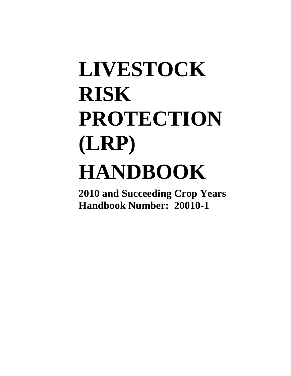## **LIVESTOCK RISK PROTECTION (LRP) HANDBOOK**

**2010 and Succeeding Crop Years Handbook Number: 20010-1**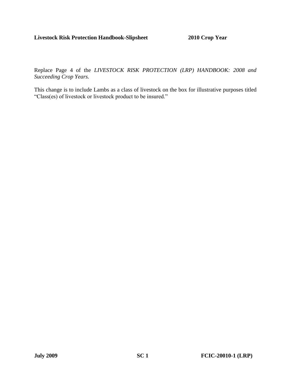## **Livestock Risk Protection Handbook-Slipsheet 2010 Crop Year**

Replace Page 4 of the *LIVESTOCK RISK PROTECTION (LRP) HANDBOOK: 2008 and Succeeding Crop Years.*

This change is to include Lambs as a class of livestock on the box for illustrative purposes titled "Class(es) of livestock or livestock product to be insured."